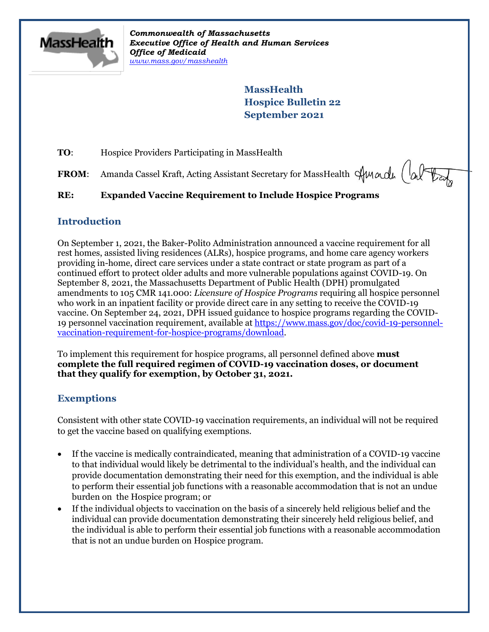

*Commonwealth of Massachusetts Executive Office of Health and Human Services Office of Medicaid [www.mass.gov/masshealth](http://www.mass.gov/masshealth)*

> **MassHealth Hospice Bulletin 22 September 2021**

**TO:** Hospice Providers Participating in MassHealth

FROM: Amanda Cassel Kraft, Acting Assistant Secretary for MassHealth Sunda (alter

# **RE: Expanded Vaccine Requirement to Include Hospice Programs**

## **Introduction**

On September 1, 2021, the Baker-Polito Administration announced a vaccine requirement for all rest homes, assisted living residences (ALRs), hospice programs, and home care agency workers providing in-home, direct care services under a state contract or state program as part of a continued effort to protect older adults and more vulnerable populations against COVID-19. On September 8, 2021, the Massachusetts Department of Public Health (DPH) promulgated amendments to 105 CMR 141.000: *Licensure of Hospice Programs* requiring all hospice personnel who work in an inpatient facility or provide direct care in any setting to receive the COVID-19 vaccine. On September 24, 2021, DPH issued guidance to hospice programs regarding the COVID-19 personnel vaccination requirement, available at [https://www.mass.gov/doc/covid-19-personnel](https://www.mass.gov/doc/covid-19-personnel-vaccination-requirement-for-hospice-programs/download)[vaccination-requirement-for-hospice-programs/download.](https://www.mass.gov/doc/covid-19-personnel-vaccination-requirement-for-hospice-programs/download)

To implement this requirement for hospice programs, all personnel defined above **must complete the full required regimen of COVID-19 vaccination doses, or document that they qualify for exemption, by October 31, 2021.** 

## **Exemptions**

Consistent with other state COVID-19 vaccination requirements, an individual will not be required to get the vaccine based on qualifying exemptions.

- If the vaccine is medically contraindicated, meaning that administration of a COVID-19 vaccine to that individual would likely be detrimental to the individual's health, and the individual can provide documentation demonstrating their need for this exemption, and the individual is able to perform their essential job functions with a reasonable accommodation that is not an undue burden on the Hospice program; or
- If the individual objects to vaccination on the basis of a sincerely held religious belief and the individual can provide documentation demonstrating their sincerely held religious belief, and the individual is able to perform their essential job functions with a reasonable accommodation that is not an undue burden on Hospice program.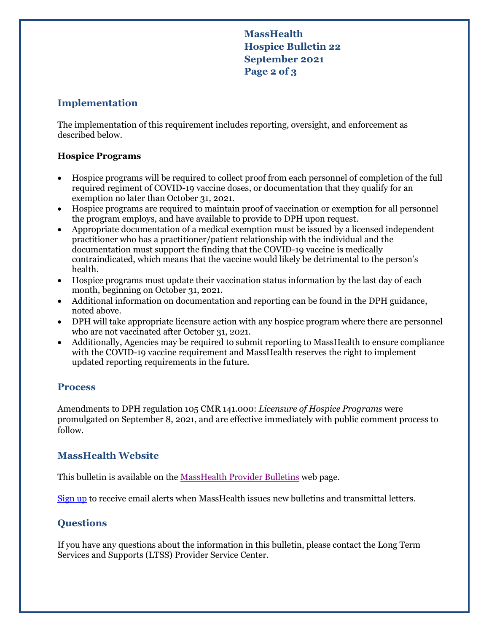**MassHealth Hospice Bulletin 22 September 2021 Page 2 of 3**

# **Implementation**

The implementation of this requirement includes reporting, oversight, and enforcement as described below.

#### **Hospice Programs**

- Hospice programs will be required to collect proof from each personnel of completion of the full required regiment of COVID-19 vaccine doses, or documentation that they qualify for an exemption no later than October 31, 2021.
- Hospice programs are required to maintain proof of vaccination or exemption for all personnel the program employs, and have available to provide to DPH upon request.
- Appropriate documentation of a medical exemption must be issued by a licensed independent practitioner who has a practitioner/patient relationship with the individual and the documentation must support the finding that the COVID-19 vaccine is medically contraindicated, which means that the vaccine would likely be detrimental to the person's health.
- Hospice programs must update their vaccination status information by the last day of each month, beginning on October 31, 2021.
- Additional information on documentation and reporting can be found in the DPH guidance, noted above.
- DPH will take appropriate licensure action with any hospice program where there are personnel who are not vaccinated after October 31, 2021.
- Additionally, Agencies may be required to submit reporting to MassHealth to ensure compliance with the COVID-19 vaccine requirement and MassHealth reserves the right to implement updated reporting requirements in the future.

## **Process**

Amendments to DPH regulation 105 CMR 141.000: *Licensure of Hospice Programs* were promulgated on September 8, 2021, and are effective immediately with public comment process to follow.

# **MassHealth Website**

This bulletin is available on th[e MassHealth Provider Bulletins](http://www.mass.gov/masshealth-provider-bulletins) web page.

[Sign up](https://www.mass.gov/forms/email-notifications-for-masshealth-provider-bulletins-and-transmittal-letters) to receive email alerts when MassHealth issues new bulletins and transmittal letters.

# **Questions**

If you have any questions about the information in this bulletin, please contact the Long Term Services and Supports (LTSS) Provider Service Center.